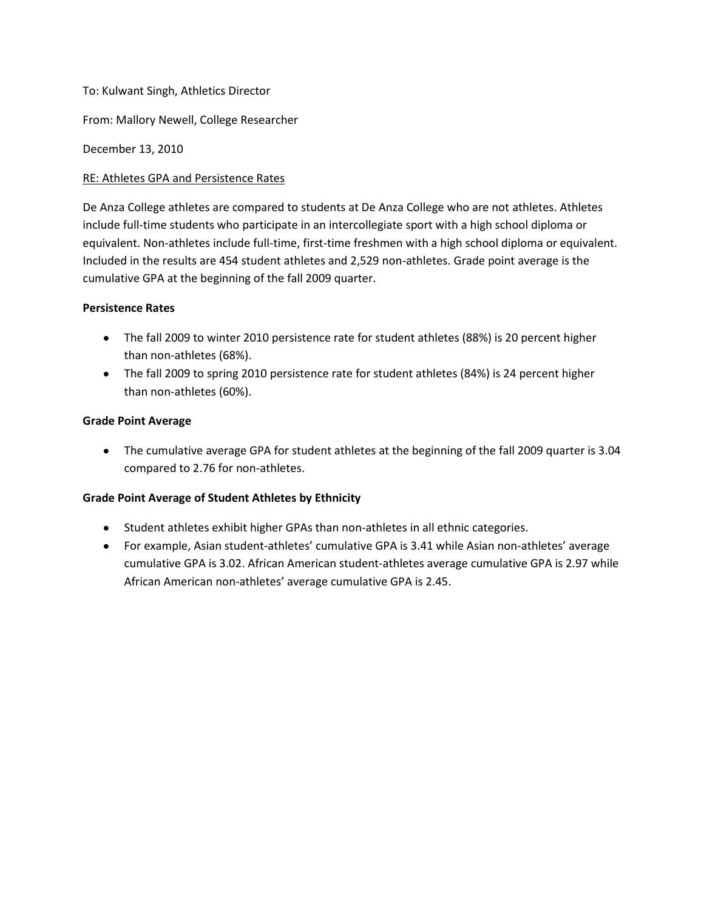## To: Kulwant Singh, Athletics Director

From: Mallory Newell, College Researcher

December 13, 2010

## RE: Athletes GPA and Persistence Rates

De Anza College athletes are compared to students at De Anza College who are not athletes. Athletes include full-time students who participate in an intercollegiate sport with a high school diploma or equivalent. Non-athletes include full-time, first-time freshmen with a high school diploma or equivalent. Included in the results are 454 student athletes and 2,529 non-athletes. Grade point average is the cumulative GPA at the beginning of the fall 2009 quarter.

## **Persistence Rates**

- The fall 2009 to winter 2010 persistence rate for student athletes (88%) is 20 percent higher than non-athletes (68%).
- The fall 2009 to spring 2010 persistence rate for student athletes (84%) is 24 percent higher than non-athletes (60%).

## **Grade Point Average**

The cumulative average GPA for student athletes at the beginning of the fall 2009 quarter is 3.04 compared to 2.76 for non-athletes.

# **Grade Point Average of Student Athletes by Ethnicity**

- Student athletes exhibit higher GPAs than non-athletes in all ethnic categories.
- For example, Asian student-athletes' cumulative GPA is 3.41 while Asian non-athletes' average cumulative GPA is 3.02. African American student-athletes average cumulative GPA is 2.97 while African American non-athletes' average cumulative GPA is 2.45.